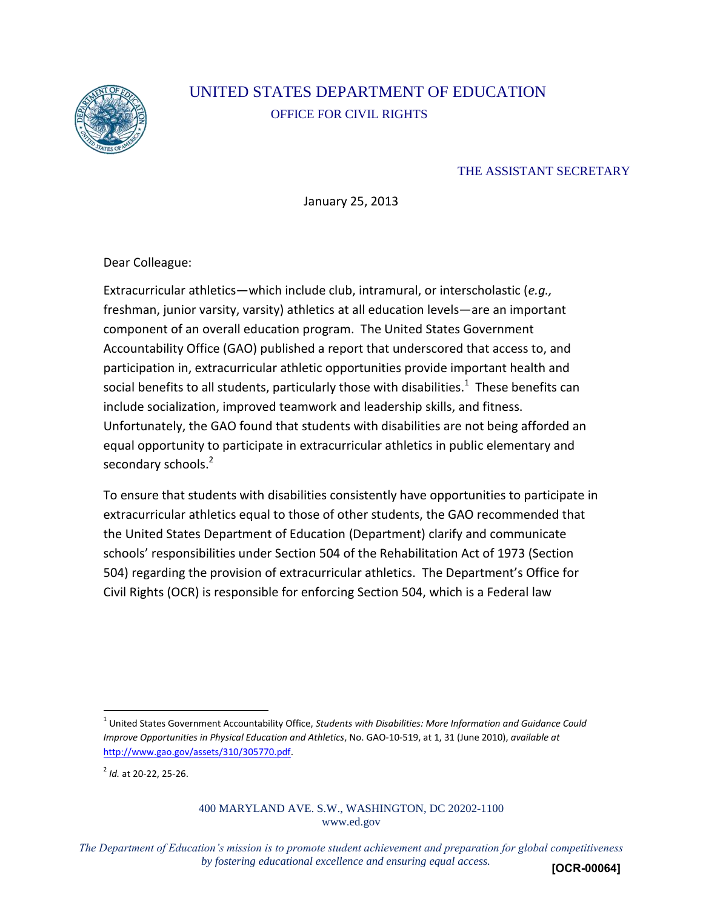

# UNITED STATES DEPARTMENT OF EDUCATION OFFICE FOR CIVIL RIGHTS

#### THE ASSISTANT SECRETARY

January 25, 2013

Dear Colleague:

Extracurricular athletics—which include club, intramural, or interscholastic (*e.g.,* freshman, junior varsity, varsity) athletics at all education levels—are an important component of an overall education program. The United States Government Accountability Office (GAO) published a report that underscored that access to, and participation in, extracurricular athletic opportunities provide important health and social benefits to all students, particularly those with disabilities. $^1$  These benefits can include socialization, improved teamwork and leadership skills, and fitness. Unfortunately, the GAO found that students with disabilities are not being afforded an equal opportunity to participate in extracurricular athletics in public elementary and secondary schools.<sup>2</sup>

To ensure that students with disabilities consistently have opportunities to participate in extracurricular athletics equal to those of other students, the GAO recommended that the United States Department of Education (Department) clarify and communicate schools' responsibilities under Section 504 of the Rehabilitation Act of 1973 (Section 504) regarding the provision of extracurricular athletics. The Department's Office for Civil Rights (OCR) is responsible for enforcing Section 504, which is a Federal law

2 *Id.* at 20-22, 25-26.

#### 400 MARYLAND AVE. S.W., WASHINGTON, DC 20202-1100 www.ed.gov

*The Department of Education's mission is to promote student achievement and preparation for global competitiveness by fostering educational excellence and ensuring equal access.*  **[OCR-00064]**

<sup>1</sup> United States Government Accountability Office, *Students with Disabilities: More Information and Guidance Could Improve Opportunities in Physical Education and Athletics*, No. GAO-10-519, at 1, 31 (June 2010), *available at* [http://www.gao.gov/assets/310/305770.pdf.](http://www.gao.gov/assets/310/305770.pdf)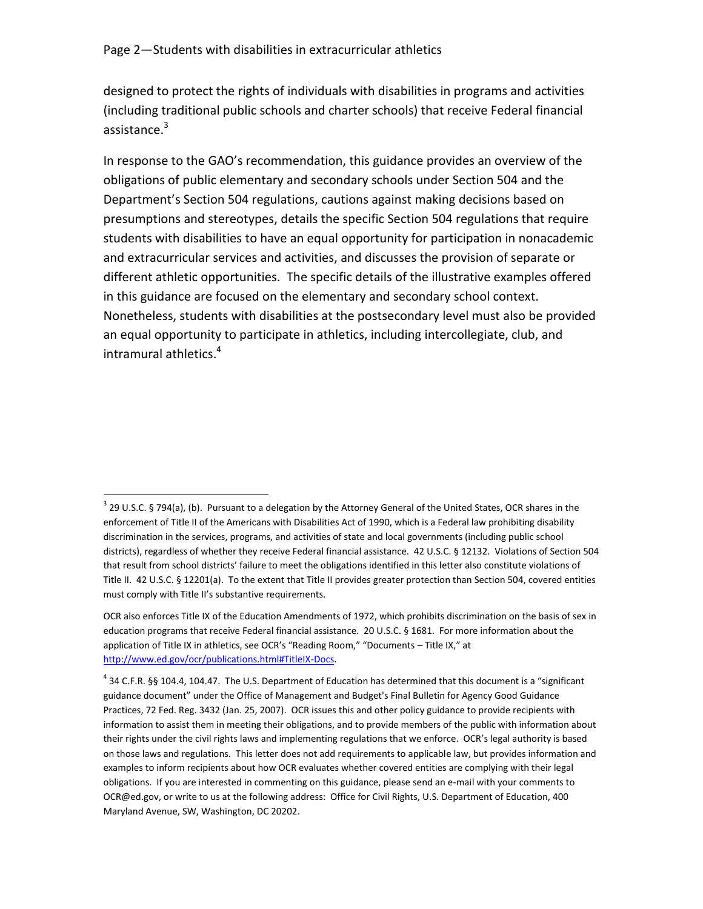$\overline{\phantom{a}}$ 

designed to protect the rights of individuals with disabilities in programs and activities (including traditional public schools and charter schools) that receive Federal financial assistance.<sup>3</sup>

In response to the GAO's recommendation, this guidance provides an overview of the obligations of public elementary and secondary schools under Section 504 and the Department's Section 504 regulations, cautions against making decisions based on presumptions and stereotypes, details the specific Section 504 regulations that require students with disabilities to have an equal opportunity for participation in nonacademic and extracurricular services and activities, and discusses the provision of separate or different athletic opportunities. The specific details of the illustrative examples offered in this guidance are focused on the elementary and secondary school context. Nonetheless, students with disabilities at the postsecondary level must also be provided an equal opportunity to participate in athletics, including intercollegiate, club, and intramural athletics.<sup>4</sup>

 $3$  29 U.S.C. § 794(a), (b). Pursuant to a delegation by the Attorney General of the United States, OCR shares in the enforcement of Title II of the Americans with Disabilities Act of 1990, which is a Federal law prohibiting disability discrimination in the services, programs, and activities of state and local governments (including public school districts), regardless of whether they receive Federal financial assistance. 42 U.S.C. § 12132. Violations of Section 504 that result from school districts' failure to meet the obligations identified in this letter also constitute violations of Title II. 42 U.S.C. § 12201(a). To the extent that Title II provides greater protection than Section 504, covered entities must comply with Title II's substantive requirements.

OCR also enforces Title IX of the Education Amendments of 1972, which prohibits discrimination on the basis of sex in education programs that receive Federal financial assistance. 20 U.S.C. § 1681. For more information about the application of Title IX in athletics, see OCR's "Reading Room," "Documents – Title IX," at [http://www.ed.gov/ocr/publications.html#TitleIX-Docs.](http://www.ed.gov/ocr/publications.html#TitleIX-Docs)

 $4$  34 C.F.R. §§ 104.4, 104.47. The U.S. Department of Education has determined that this document is a "significant guidance document" under the Office of Management and Budget's Final Bulletin for Agency Good Guidance Practices, 72 Fed. Reg. 3432 (Jan. 25, 2007). OCR issues this and other policy guidance to provide recipients with information to assist them in meeting their obligations, and to provide members of the public with information about their rights under the civil rights laws and implementing regulations that we enforce. OCR's legal authority is based on those laws and regulations. This letter does not add requirements to applicable law, but provides information and examples to inform recipients about how OCR evaluates whether covered entities are complying with their legal obligations. If you are interested in commenting on this guidance, please send an e-mail with your comments to OCR@ed.gov, or write to us at the following address: Office for Civil Rights, U.S. Department of Education, 400 Maryland Avenue, SW, Washington, DC 20202.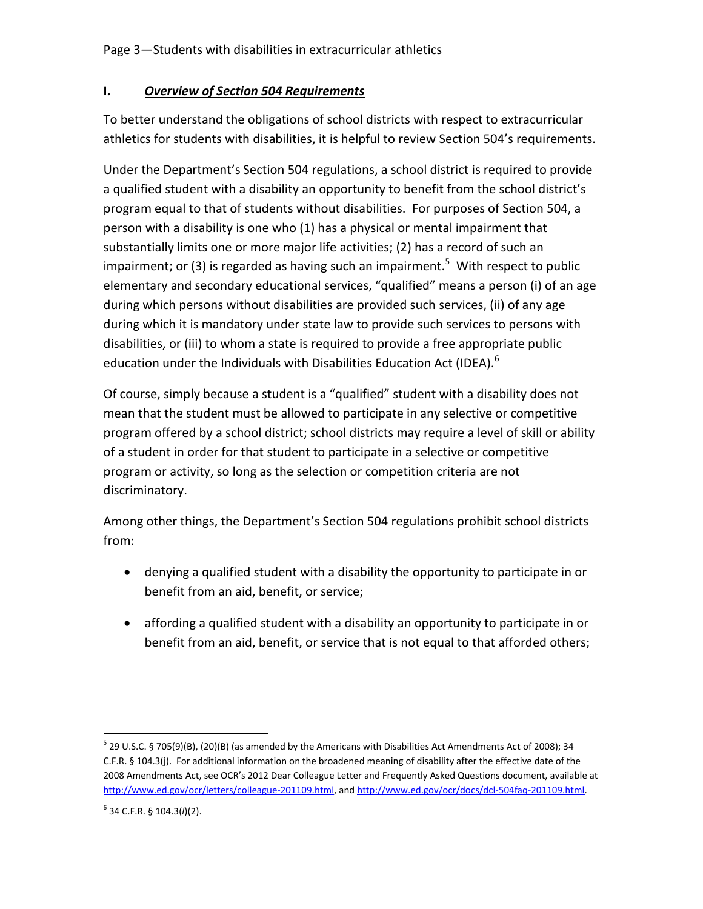# **I.** *Overview of Section 504 Requirements*

To better understand the obligations of school districts with respect to extracurricular athletics for students with disabilities, it is helpful to review Section 504's requirements.

Under the Department's Section 504 regulations, a school district is required to provide a qualified student with a disability an opportunity to benefit from the school district's program equal to that of students without disabilities. For purposes of Section 504, a person with a disability is one who (1) has a physical or mental impairment that substantially limits one or more major life activities; (2) has a record of such an impairment; or (3) is regarded as having such an impairment.<sup>5</sup> With respect to public elementary and secondary educational services, "qualified" means a person (i) of an age during which persons without disabilities are provided such services, (ii) of any age during which it is mandatory under state law to provide such services to persons with disabilities, or (iii) to whom a state is required to provide a free appropriate public education under the Individuals with Disabilities Education Act (IDEA).<sup>6</sup>

Of course, simply because a student is a "qualified" student with a disability does not mean that the student must be allowed to participate in any selective or competitive program offered by a school district; school districts may require a level of skill or ability of a student in order for that student to participate in a selective or competitive program or activity, so long as the selection or competition criteria are not discriminatory.

Among other things, the Department's Section 504 regulations prohibit school districts from:

- denying a qualified student with a disability the opportunity to participate in or benefit from an aid, benefit, or service;
- affording a qualified student with a disability an opportunity to participate in or benefit from an aid, benefit, or service that is not equal to that afforded others;

 $\overline{\phantom{a}}$  $^5$  29 U.S.C. § 705(9)(B), (20)(B) (as amended by the Americans with Disabilities Act Amendments Act of 2008); 34 C.F.R. § 104.3(j). For additional information on the broadened meaning of disability after the effective date of the 2008 Amendments Act, see OCR's 2012 Dear Colleague Letter and Frequently Asked Questions document, available at [http://www.ed.gov/ocr/letters/colleague-201109.html,](http://www.ed.gov/ocr/letters/colleague-201109.html) an[d http://www.ed.gov/ocr/docs/dcl-504faq-201109.html.](http://www.ed.gov/ocr/docs/dcl-504faq-201109.html) 

<sup>6</sup> 34 C.F.R. § 104.3(*l*)(2).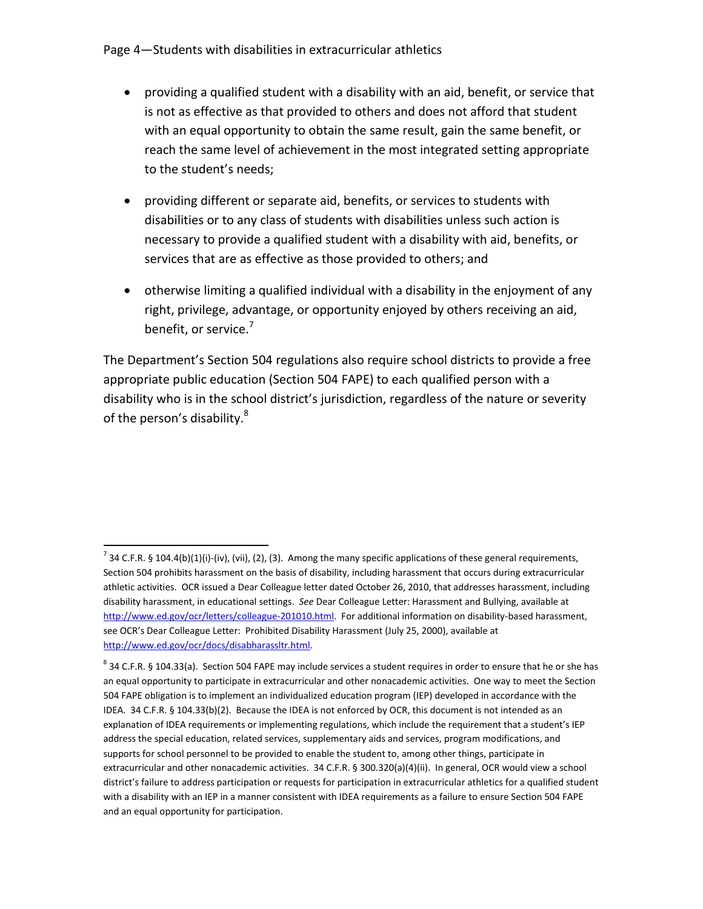- providing a qualified student with a disability with an aid, benefit, or service that is not as effective as that provided to others and does not afford that student with an equal opportunity to obtain the same result, gain the same benefit, or reach the same level of achievement in the most integrated setting appropriate to the student's needs;
- providing different or separate aid, benefits, or services to students with disabilities or to any class of students with disabilities unless such action is necessary to provide a qualified student with a disability with aid, benefits, or services that are as effective as those provided to others; and
- otherwise limiting a qualified individual with a disability in the enjoyment of any right, privilege, advantage, or opportunity enjoyed by others receiving an aid, benefit, or service.<sup>7</sup>

The Department's Section 504 regulations also require school districts to provide a free appropriate public education (Section 504 FAPE) to each qualified person with a disability who is in the school district's jurisdiction, regardless of the nature or severity of the person's disability.<sup>8</sup>

 $\overline{\phantom{a}}$ <sup>7</sup> 34 C.F.R. § 104.4(b)(1)(i)-(iv), (vii), (2), (3). Among the many specific applications of these general requirements, Section 504 prohibits harassment on the basis of disability, including harassment that occurs during extracurricular athletic activities. OCR issued a Dear Colleague letter dated October 26, 2010, that addresses harassment, including disability harassment, in educational settings. *See* Dear Colleague Letter: Harassment and Bullying, available at [http://www.ed.gov/ocr/letters/colleague-201010.html.](http://www.ed.gov/ocr/letters/colleague-201010.html) For additional information on disability-based harassment, see OCR's Dear Colleague Letter: Prohibited Disability Harassment (July 25, 2000), available at [http://www.ed.gov/ocr/docs/disabharassltr.html.](http://www.ed.gov/ocr/docs/disabharassltr.html)

 $^8$  34 C.F.R. § 104.33(a). Section 504 FAPE may include services a student requires in order to ensure that he or she has an equal opportunity to participate in extracurricular and other nonacademic activities. One way to meet the Section 504 FAPE obligation is to implement an individualized education program (IEP) developed in accordance with the IDEA. 34 C.F.R. § 104.33(b)(2). Because the IDEA is not enforced by OCR, this document is not intended as an explanation of IDEA requirements or implementing regulations, which include the requirement that a student's IEP address the special education, related services, supplementary aids and services, program modifications, and supports for school personnel to be provided to enable the student to, among other things, participate in extracurricular and other nonacademic activities. 34 C.F.R. § 300.320(a)(4)(ii). In general, OCR would view a school district's failure to address participation or requests for participation in extracurricular athletics for a qualified student with a disability with an IEP in a manner consistent with IDEA requirements as a failure to ensure Section 504 FAPE and an equal opportunity for participation.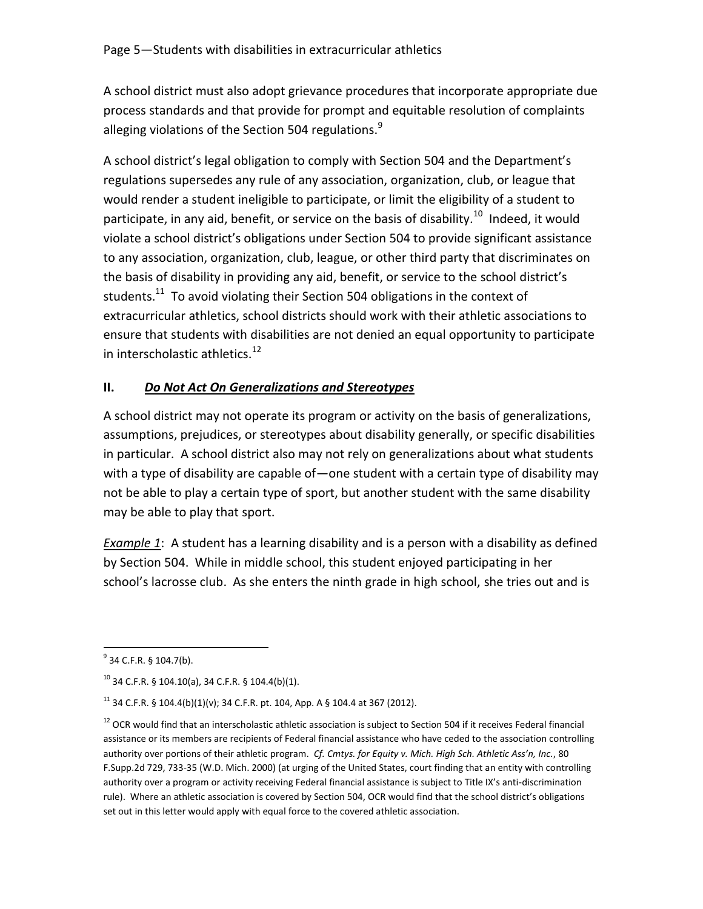A school district must also adopt grievance procedures that incorporate appropriate due process standards and that provide for prompt and equitable resolution of complaints alleging violations of the Section 504 regulations. $9$ 

A school district's legal obligation to comply with Section 504 and the Department's regulations supersedes any rule of any association, organization, club, or league that would render a student ineligible to participate, or limit the eligibility of a student to participate, in any aid, benefit, or service on the basis of disability.<sup>10</sup> Indeed, it would violate a school district's obligations under Section 504 to provide significant assistance to any association, organization, club, league, or other third party that discriminates on the basis of disability in providing any aid, benefit, or service to the school district's students.<sup>11</sup> To avoid violating their Section 504 obligations in the context of extracurricular athletics, school districts should work with their athletic associations to ensure that students with disabilities are not denied an equal opportunity to participate in interscholastic athletics.<sup>12</sup>

# **II.** *Do Not Act On Generalizations and Stereotypes*

A school district may not operate its program or activity on the basis of generalizations, assumptions, prejudices, or stereotypes about disability generally, or specific disabilities in particular. A school district also may not rely on generalizations about what students with a type of disability are capable of—one student with a certain type of disability may not be able to play a certain type of sport, but another student with the same disability may be able to play that sport.

*Example 1*: A student has a learning disability and is a person with a disability as defined by Section 504. While in middle school, this student enjoyed participating in her school's lacrosse club. As she enters the ninth grade in high school, she tries out and is

<sup>。&</sup>lt;br><sup>9</sup> 34 C.F.R. § 104.7(b).

 $10$  34 C.F.R. § 104.10(a), 34 C.F.R. § 104.4(b)(1).

<sup>&</sup>lt;sup>11</sup> 34 C.F.R. § 104.4(b)(1)(v); 34 C.F.R. pt. 104, App. A § 104.4 at 367 (2012).

 $12$  OCR would find that an interscholastic athletic association is subject to Section 504 if it receives Federal financial assistance or its members are recipients of Federal financial assistance who have ceded to the association controlling authority over portions of their athletic program. *Cf. Cmtys. for Equity v. Mich. High Sch. Athletic Ass'n, Inc.*, 80 F.Supp.2d 729, 733-35 (W.D. Mich. 2000) (at urging of the United States, court finding that an entity with controlling authority over a program or activity receiving Federal financial assistance is subject to Title IX's anti-discrimination rule). Where an athletic association is covered by Section 504, OCR would find that the school district's obligations set out in this letter would apply with equal force to the covered athletic association.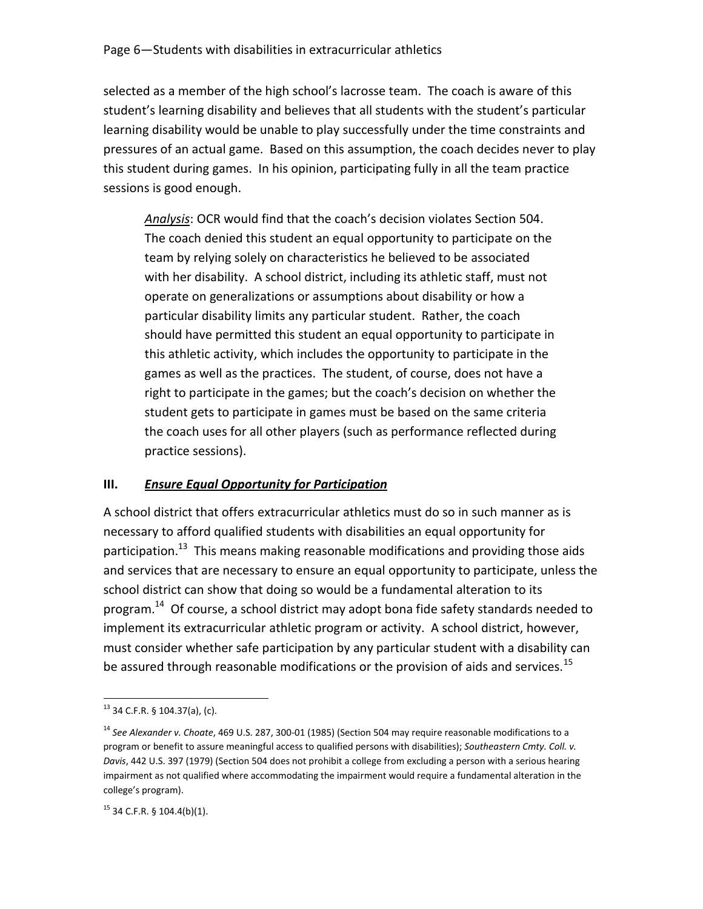selected as a member of the high school's lacrosse team. The coach is aware of this student's learning disability and believes that all students with the student's particular learning disability would be unable to play successfully under the time constraints and pressures of an actual game. Based on this assumption, the coach decides never to play this student during games. In his opinion, participating fully in all the team practice sessions is good enough.

*Analysis*: OCR would find that the coach's decision violates Section 504. The coach denied this student an equal opportunity to participate on the team by relying solely on characteristics he believed to be associated with her disability. A school district, including its athletic staff, must not operate on generalizations or assumptions about disability or how a particular disability limits any particular student. Rather, the coach should have permitted this student an equal opportunity to participate in this athletic activity, which includes the opportunity to participate in the games as well as the practices. The student, of course, does not have a right to participate in the games; but the coach's decision on whether the student gets to participate in games must be based on the same criteria the coach uses for all other players (such as performance reflected during practice sessions).

## **III.** *Ensure Equal Opportunity for Participation*

A school district that offers extracurricular athletics must do so in such manner as is necessary to afford qualified students with disabilities an equal opportunity for participation.<sup>13</sup> This means making reasonable modifications and providing those aids and services that are necessary to ensure an equal opportunity to participate, unless the school district can show that doing so would be a fundamental alteration to its program.<sup>14</sup> Of course, a school district may adopt bona fide safety standards needed to implement its extracurricular athletic program or activity. A school district, however, must consider whether safe participation by any particular student with a disability can be assured through reasonable modifications or the provision of aids and services.<sup>15</sup>

 $\overline{a}$  $13$  34 C.F.R. § 104.37(a), (c).

<sup>&</sup>lt;sup>14</sup> See Alexander v. Choate, 469 U.S. 287, 300-01 (1985) (Section 504 may require reasonable modifications to a program or benefit to assure meaningful access to qualified persons with disabilities); *Southeastern Cmty. Coll. v. Davis*, 442 U.S. 397 (1979) (Section 504 does not prohibit a college from excluding a person with a serious hearing impairment as not qualified where accommodating the impairment would require a fundamental alteration in the college's program).

 $15$  34 C.F.R. § 104.4(b)(1).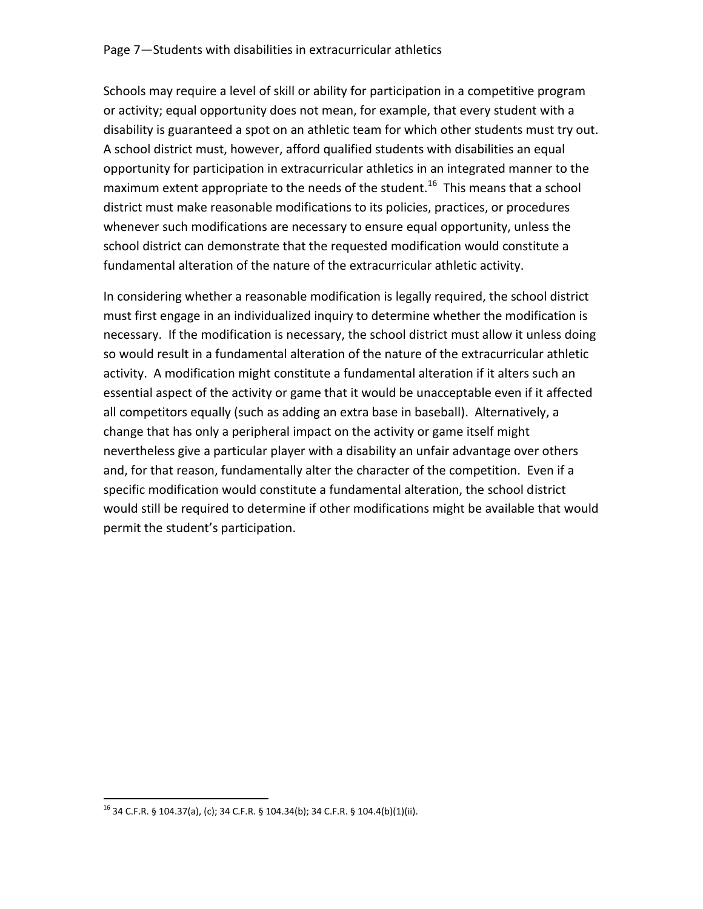#### Page 7—Students with disabilities in extracurricular athletics

Schools may require a level of skill or ability for participation in a competitive program or activity; equal opportunity does not mean, for example, that every student with a disability is guaranteed a spot on an athletic team for which other students must try out. A school district must, however, afford qualified students with disabilities an equal opportunity for participation in extracurricular athletics in an integrated manner to the maximum extent appropriate to the needs of the student.<sup>16</sup> This means that a school district must make reasonable modifications to its policies, practices, or procedures whenever such modifications are necessary to ensure equal opportunity, unless the school district can demonstrate that the requested modification would constitute a fundamental alteration of the nature of the extracurricular athletic activity.

In considering whether a reasonable modification is legally required, the school district must first engage in an individualized inquiry to determine whether the modification is necessary. If the modification is necessary, the school district must allow it unless doing so would result in a fundamental alteration of the nature of the extracurricular athletic activity. A modification might constitute a fundamental alteration if it alters such an essential aspect of the activity or game that it would be unacceptable even if it affected all competitors equally (such as adding an extra base in baseball). Alternatively, a change that has only a peripheral impact on the activity or game itself might nevertheless give a particular player with a disability an unfair advantage over others and, for that reason, fundamentally alter the character of the competition. Even if a specific modification would constitute a fundamental alteration, the school district would still be required to determine if other modifications might be available that would permit the student's participation.

 $\overline{\phantom{a}}$ <sup>16</sup> 34 C.F.R. § 104.37(a), (c); 34 C.F.R. § 104.34(b); 34 C.F.R. § 104.4(b)(1)(ii).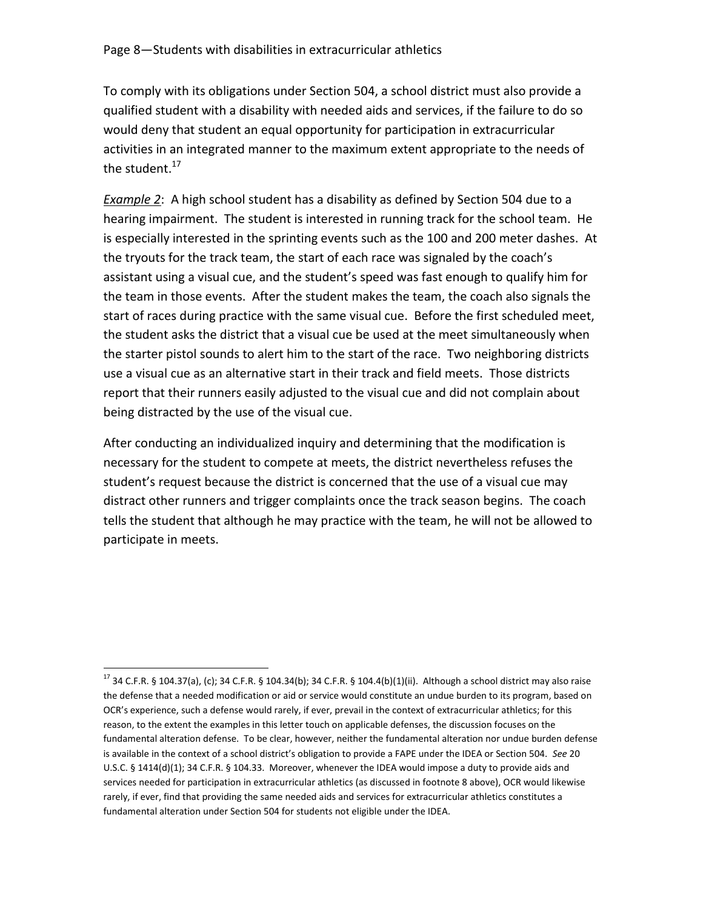To comply with its obligations under Section 504, a school district must also provide a qualified student with a disability with needed aids and services, if the failure to do so would deny that student an equal opportunity for participation in extracurricular activities in an integrated manner to the maximum extent appropriate to the needs of the student. $17$ 

*Example 2*: A high school student has a disability as defined by Section 504 due to a hearing impairment. The student is interested in running track for the school team. He is especially interested in the sprinting events such as the 100 and 200 meter dashes. At the tryouts for the track team, the start of each race was signaled by the coach's assistant using a visual cue, and the student's speed was fast enough to qualify him for the team in those events. After the student makes the team, the coach also signals the start of races during practice with the same visual cue. Before the first scheduled meet, the student asks the district that a visual cue be used at the meet simultaneously when the starter pistol sounds to alert him to the start of the race. Two neighboring districts use a visual cue as an alternative start in their track and field meets. Those districts report that their runners easily adjusted to the visual cue and did not complain about being distracted by the use of the visual cue.

After conducting an individualized inquiry and determining that the modification is necessary for the student to compete at meets, the district nevertheless refuses the student's request because the district is concerned that the use of a visual cue may distract other runners and trigger complaints once the track season begins. The coach tells the student that although he may practice with the team, he will not be allowed to participate in meets.

l

 $17$  34 C.F.R. § 104.37(a), (c); 34 C.F.R. § 104.34(b); 34 C.F.R. § 104.4(b)(1)(ii). Although a school district may also raise the defense that a needed modification or aid or service would constitute an undue burden to its program, based on OCR's experience, such a defense would rarely, if ever, prevail in the context of extracurricular athletics; for this reason, to the extent the examples in this letter touch on applicable defenses, the discussion focuses on the fundamental alteration defense. To be clear, however, neither the fundamental alteration nor undue burden defense is available in the context of a school district's obligation to provide a FAPE under the IDEA or Section 504. *See* 20 U.S.C. § 1414(d)(1); 34 C.F.R. § 104.33. Moreover, whenever the IDEA would impose a duty to provide aids and services needed for participation in extracurricular athletics (as discussed in footnote 8 above), OCR would likewise rarely, if ever, find that providing the same needed aids and services for extracurricular athletics constitutes a fundamental alteration under Section 504 for students not eligible under the IDEA.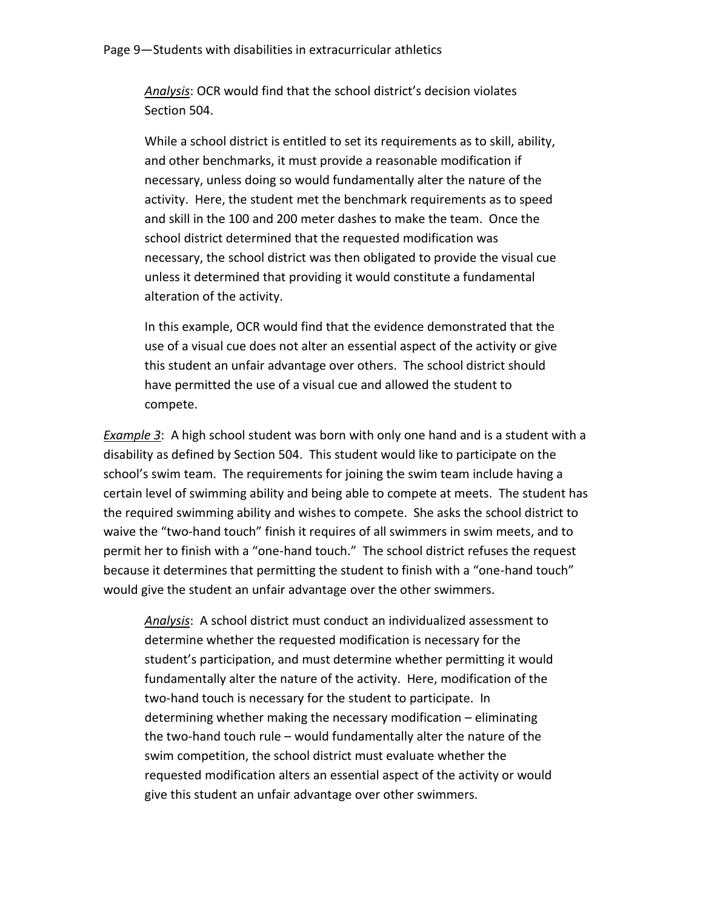*Analysis*: OCR would find that the school district's decision violates Section 504.

While a school district is entitled to set its requirements as to skill, ability, and other benchmarks, it must provide a reasonable modification if necessary, unless doing so would fundamentally alter the nature of the activity. Here, the student met the benchmark requirements as to speed and skill in the 100 and 200 meter dashes to make the team. Once the school district determined that the requested modification was necessary, the school district was then obligated to provide the visual cue unless it determined that providing it would constitute a fundamental alteration of the activity.

In this example, OCR would find that the evidence demonstrated that the use of a visual cue does not alter an essential aspect of the activity or give this student an unfair advantage over others. The school district should have permitted the use of a visual cue and allowed the student to compete.

*Example 3*: A high school student was born with only one hand and is a student with a disability as defined by Section 504. This student would like to participate on the school's swim team. The requirements for joining the swim team include having a certain level of swimming ability and being able to compete at meets. The student has the required swimming ability and wishes to compete. She asks the school district to waive the "two-hand touch" finish it requires of all swimmers in swim meets, and to permit her to finish with a "one-hand touch." The school district refuses the request because it determines that permitting the student to finish with a "one-hand touch" would give the student an unfair advantage over the other swimmers.

*Analysis*: A school district must conduct an individualized assessment to determine whether the requested modification is necessary for the student's participation, and must determine whether permitting it would fundamentally alter the nature of the activity. Here, modification of the two-hand touch is necessary for the student to participate. In determining whether making the necessary modification – eliminating the two-hand touch rule – would fundamentally alter the nature of the swim competition, the school district must evaluate whether the requested modification alters an essential aspect of the activity or would give this student an unfair advantage over other swimmers.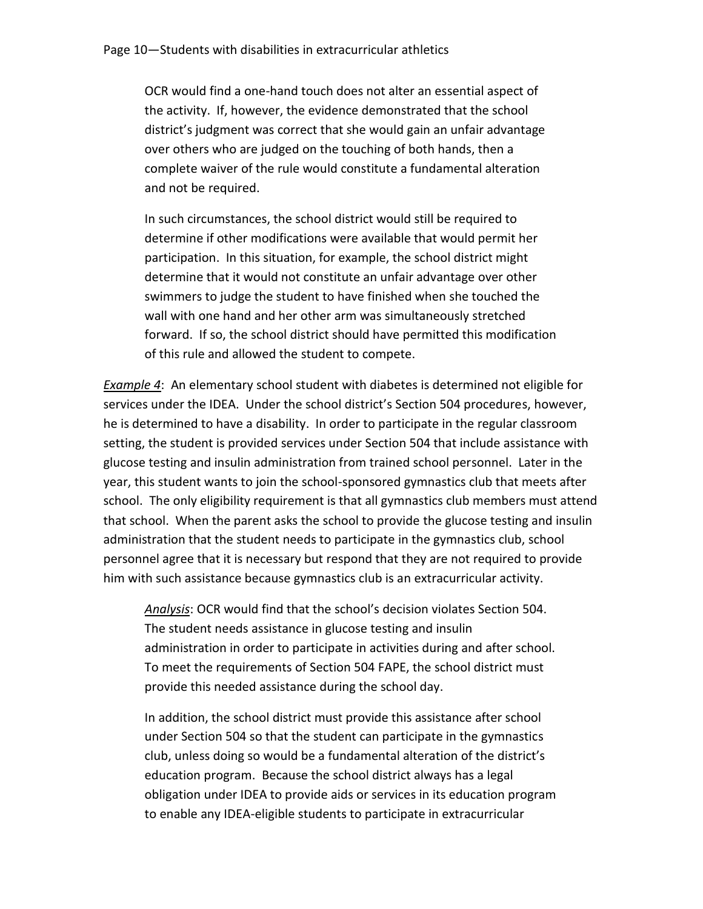OCR would find a one-hand touch does not alter an essential aspect of the activity. If, however, the evidence demonstrated that the school district's judgment was correct that she would gain an unfair advantage over others who are judged on the touching of both hands, then a complete waiver of the rule would constitute a fundamental alteration and not be required.

In such circumstances, the school district would still be required to determine if other modifications were available that would permit her participation. In this situation, for example, the school district might determine that it would not constitute an unfair advantage over other swimmers to judge the student to have finished when she touched the wall with one hand and her other arm was simultaneously stretched forward. If so, the school district should have permitted this modification of this rule and allowed the student to compete.

*Example 4*: An elementary school student with diabetes is determined not eligible for services under the IDEA. Under the school district's Section 504 procedures, however, he is determined to have a disability. In order to participate in the regular classroom setting, the student is provided services under Section 504 that include assistance with glucose testing and insulin administration from trained school personnel. Later in the year, this student wants to join the school-sponsored gymnastics club that meets after school. The only eligibility requirement is that all gymnastics club members must attend that school. When the parent asks the school to provide the glucose testing and insulin administration that the student needs to participate in the gymnastics club, school personnel agree that it is necessary but respond that they are not required to provide him with such assistance because gymnastics club is an extracurricular activity.

*Analysis*: OCR would find that the school's decision violates Section 504. The student needs assistance in glucose testing and insulin administration in order to participate in activities during and after school. To meet the requirements of Section 504 FAPE, the school district must provide this needed assistance during the school day.

In addition, the school district must provide this assistance after school under Section 504 so that the student can participate in the gymnastics club, unless doing so would be a fundamental alteration of the district's education program. Because the school district always has a legal obligation under IDEA to provide aids or services in its education program to enable any IDEA-eligible students to participate in extracurricular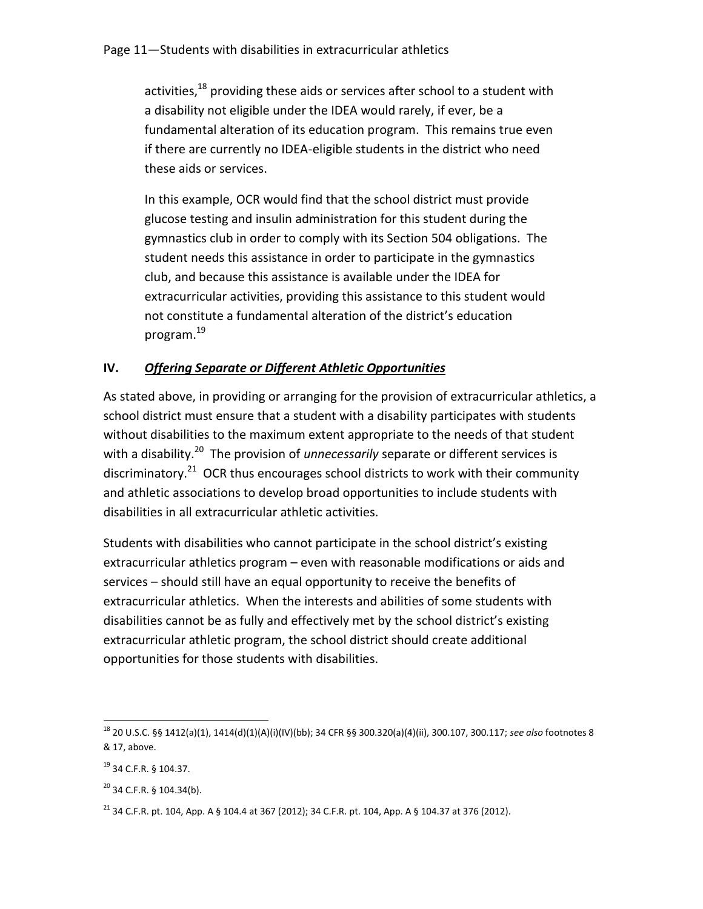activities, $18$  providing these aids or services after school to a student with a disability not eligible under the IDEA would rarely, if ever, be a fundamental alteration of its education program. This remains true even if there are currently no IDEA-eligible students in the district who need these aids or services.

In this example, OCR would find that the school district must provide glucose testing and insulin administration for this student during the gymnastics club in order to comply with its Section 504 obligations. The student needs this assistance in order to participate in the gymnastics club, and because this assistance is available under the IDEA for extracurricular activities, providing this assistance to this student would not constitute a fundamental alteration of the district's education program.<sup>19</sup>

# **IV.** *Offering Separate or Different Athletic Opportunities*

As stated above, in providing or arranging for the provision of extracurricular athletics, a school district must ensure that a student with a disability participates with students without disabilities to the maximum extent appropriate to the needs of that student with a disability.<sup>20</sup> The provision of *unnecessarily* separate or different services is discriminatory.<sup>21</sup> OCR thus encourages school districts to work with their community and athletic associations to develop broad opportunities to include students with disabilities in all extracurricular athletic activities.

Students with disabilities who cannot participate in the school district's existing extracurricular athletics program – even with reasonable modifications or aids and services – should still have an equal opportunity to receive the benefits of extracurricular athletics. When the interests and abilities of some students with disabilities cannot be as fully and effectively met by the school district's existing extracurricular athletic program, the school district should create additional opportunities for those students with disabilities.

 $\overline{\phantom{a}}$ <sup>18</sup> 20 U.S.C. §§ 1412(a)(1), 1414(d)(1)(A)(i)(IV)(bb); 34 CFR §§ 300.320(a)(4)(ii), 300.107, 300.117; *see also* footnotes 8 & 17, above.

<sup>19</sup> 34 C.F.R. § 104.37.

 $20$  34 C.F.R. § 104.34(b).

<sup>&</sup>lt;sup>21</sup> 34 C.F.R. pt. 104, App. A § 104.4 at 367 (2012); 34 C.F.R. pt. 104, App. A § 104.37 at 376 (2012).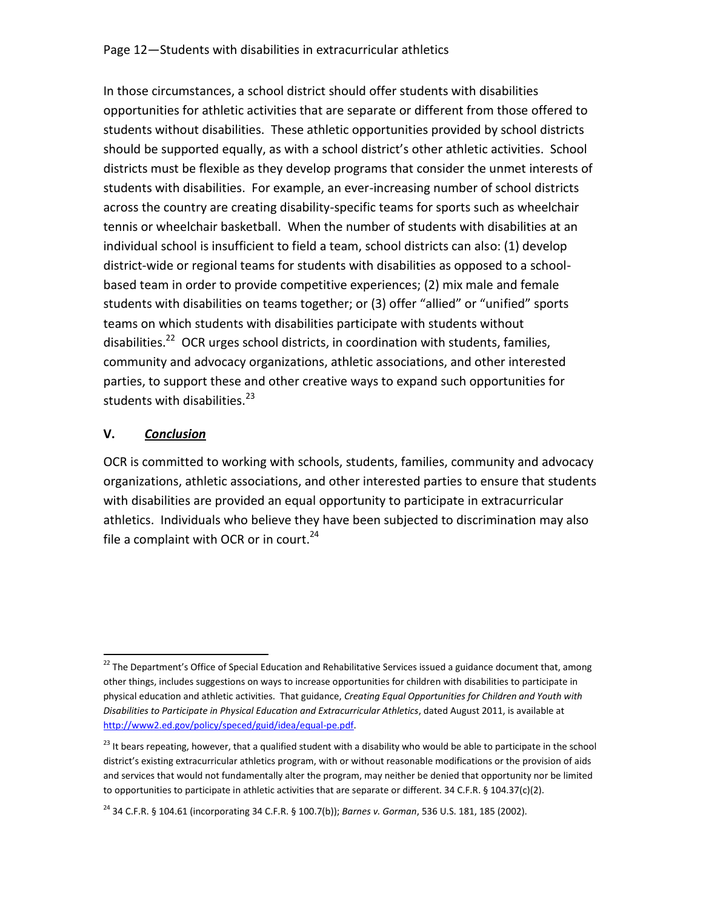In those circumstances, a school district should offer students with disabilities opportunities for athletic activities that are separate or different from those offered to students without disabilities. These athletic opportunities provided by school districts should be supported equally, as with a school district's other athletic activities. School districts must be flexible as they develop programs that consider the unmet interests of students with disabilities. For example, an ever-increasing number of school districts across the country are creating disability-specific teams for sports such as wheelchair tennis or wheelchair basketball. When the number of students with disabilities at an individual school is insufficient to field a team, school districts can also: (1) develop district-wide or regional teams for students with disabilities as opposed to a schoolbased team in order to provide competitive experiences; (2) mix male and female students with disabilities on teams together; or (3) offer "allied" or "unified" sports teams on which students with disabilities participate with students without disabilities.<sup>22</sup> OCR urges school districts, in coordination with students, families, community and advocacy organizations, athletic associations, and other interested parties, to support these and other creative ways to expand such opportunities for students with disabilities.<sup>23</sup>

### **V.** *Conclusion*

l

OCR is committed to working with schools, students, families, community and advocacy organizations, athletic associations, and other interested parties to ensure that students with disabilities are provided an equal opportunity to participate in extracurricular athletics. Individuals who believe they have been subjected to discrimination may also file a complaint with OCR or in court.<sup>24</sup>

<sup>&</sup>lt;sup>22</sup> The Department's Office of Special Education and Rehabilitative Services issued a guidance document that, among other things, includes suggestions on ways to increase opportunities for children with disabilities to participate in physical education and athletic activities. That guidance, *Creating Equal Opportunities for Children and Youth with Disabilities to Participate in Physical Education and Extracurricular Athletics*, dated August 2011, is available at [http://www2.ed.gov/policy/speced/guid/idea/equal-pe.pdf.](http://www2.ed.gov/policy/speced/guid/idea/equal-pe.pdf)

 $^{23}$  It bears repeating, however, that a qualified student with a disability who would be able to participate in the school district's existing extracurricular athletics program, with or without reasonable modifications or the provision of aids and services that would not fundamentally alter the program, may neither be denied that opportunity nor be limited to opportunities to participate in athletic activities that are separate or different. 34 C.F.R. § 104.37(c)(2).

<sup>24</sup> 34 C.F.R. § 104.61 (incorporating 34 C.F.R. § 100.7(b)); *Barnes v. Gorman*, 536 U.S. 181, 185 (2002).